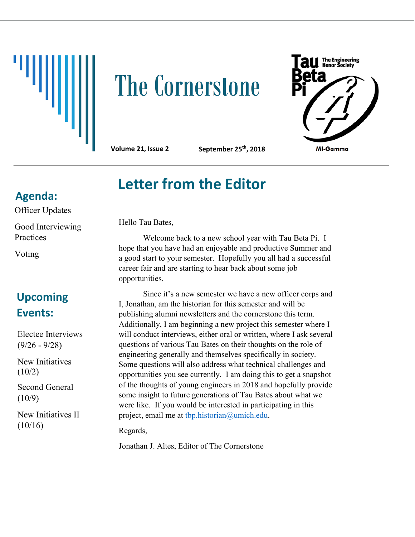

## **The Cornerstone**

The Engineering<br>Honor Society MI-Gamma

**Volume 21, Issue 2 September 25th, 2018**

## **Letter from the Editor**

**Agenda:**

Officer Updates Good Interviewing Practices

Voting

## **Upcoming Events:**

Electee Interviews (9/26 - 9/28)

New Initiatives (10/2)

Second General  $(10/9)$ 

New Initiatives II  $(10/16)$ 

Hello Tau Bates,

Welcome back to a new school year with Tau Beta Pi. I hope that you have had an enjoyable and productive Summer and a good start to your semester. Hopefully you all had a successful career fair and are starting to hear back about some job opportunities.

Since it's a new semester we have a new officer corps and I, Jonathan, am the historian for this semester and will be publishing alumni newsletters and the cornerstone this term. Additionally, I am beginning a new project this semester where I will conduct interviews, either oral or written, where I ask several questions of various Tau Bates on their thoughts on the role of engineering generally and themselves specifically in society. Some questions will also address what technical challenges and opportunities you see currently. I am doing this to get a snapshot of the thoughts of young engineers in 2018 and hopefully provide some insight to future generations of Tau Bates about what we were like. If you would be interested in participating in this project, email me at [tbp.historian@umich.edu.](mailto:tbp.historian@umich.edu)

Regards,

Jonathan J. Altes, Editor of The Cornerstone